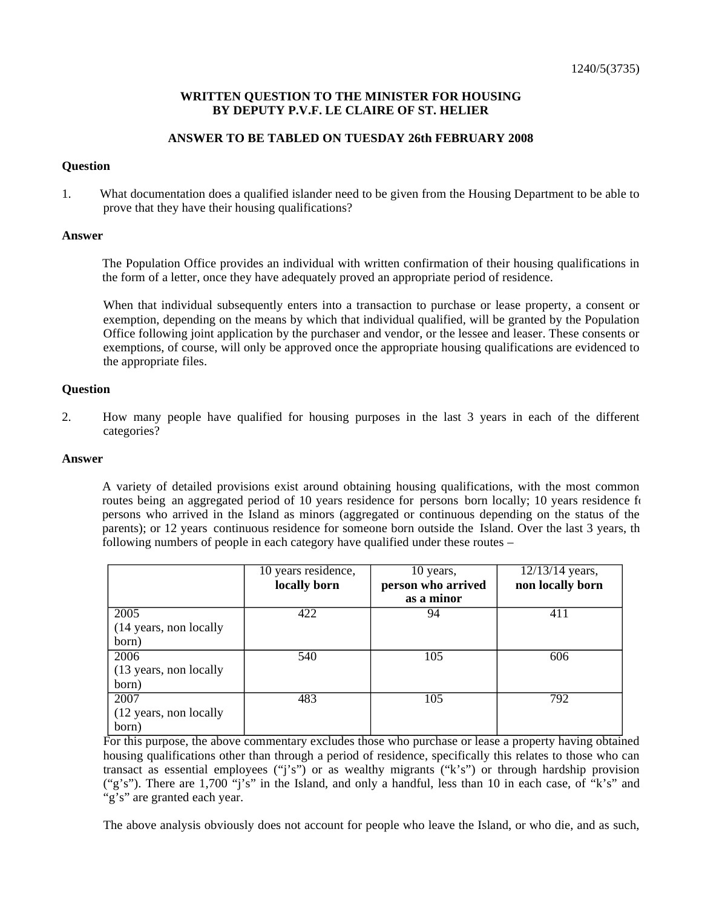## **WRITTEN QUESTION TO THE MINISTER FOR HOUSING BY DEPUTY P.V.F. LE CLAIRE OF ST. HELIER**

## **ANSWER TO BE TABLED ON TUESDAY 26th FEBRUARY 2008**

#### **Question**

1. What documentation does a qualified islander need to be given from the Housing Department to be able to prove that they have their housing qualifications?

#### **Answer**

The Population Office provides an individual with written confirmation of their housing qualifications in the form of a letter, once they have adequately proved an appropriate period of residence.

When that individual subsequently enters into a transaction to purchase or lease property, a consent or exemption, depending on the means by which that individual qualified, will be granted by the Population Office following joint application by the purchaser and vendor, or the lessee and leaser. These consents or exemptions, of course, will only be approved once the appropriate housing qualifications are evidenced to the appropriate files.

## **Question**

2. How many people have qualified for housing purposes in the last 3 years in each of the different categories?

#### **Answer**

A variety of detailed provisions exist around obtaining housing qualifications, with the most common routes being an aggregated period of 10 years residence for persons born locally; 10 years residence for persons who arrived in the Island as minors (aggregated or continuous depending on the status of the parents); or 12 years continuous residence for someone born outside the Island. Over the last 3 years, the following numbers of people in each category have qualified under these routes –

|                         | 10 years residence, | 10 years,          | $12/13/14$ years, |
|-------------------------|---------------------|--------------------|-------------------|
|                         | locally born        | person who arrived | non locally born  |
|                         |                     | as a minor         |                   |
| 2005                    | 422                 | 94                 | 411               |
| (14 years, non locally) |                     |                    |                   |
| born)                   |                     |                    |                   |
| 2006                    | 540                 | 105                | 606               |
| (13 years, non locally  |                     |                    |                   |
| born)                   |                     |                    |                   |
| 2007                    | 483                 | 105                | 792               |
| (12 years, non locally  |                     |                    |                   |
| born)                   |                     |                    |                   |

For this purpose, the above commentary excludes those who purchase or lease a property having obtained housing qualifications other than through a period of residence, specifically this relates to those who can transact as essential employees ("j's") or as wealthy migrants ("k's") or through hardship provision ("g's"). There are 1,700 "j's" in the Island, and only a handful, less than 10 in each case, of "k's" and "g's" are granted each year.

The above analysis obviously does not account for people who leave the Island, or who die, and as such,